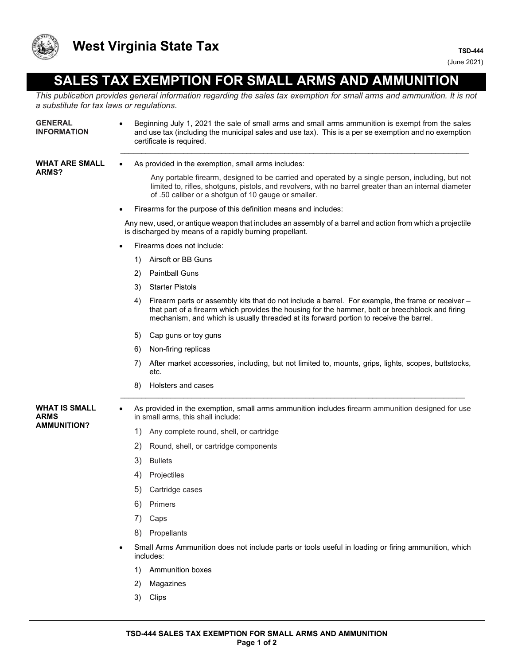

## **SALES TAX EXEMPTION FOR SMALL ARMS AND AMMUNITION**

*This publication provides general information regarding the sales tax exemption for small arms and ammunition. It is not a substitute for tax laws or regulations.*

| <b>GENERAL</b><br><b>INFORMATION</b>               | Beginning July 1, 2021 the sale of small arms and small arms ammunition is exempt from the sales<br>$\bullet$<br>and use tax (including the municipal sales and use tax). This is a per se exemption and no exemption<br>certificate is required.                                                     |
|----------------------------------------------------|-------------------------------------------------------------------------------------------------------------------------------------------------------------------------------------------------------------------------------------------------------------------------------------------------------|
| <b>WHAT ARE SMALL</b><br><b>ARMS?</b>              | As provided in the exemption, small arms includes:                                                                                                                                                                                                                                                    |
|                                                    | Any portable firearm, designed to be carried and operated by a single person, including, but not<br>limited to, rifles, shotguns, pistols, and revolvers, with no barrel greater than an internal diameter<br>of .50 caliber or a shotgun of 10 gauge or smaller.                                     |
|                                                    | Firearms for the purpose of this definition means and includes:<br>$\bullet$                                                                                                                                                                                                                          |
|                                                    | Any new, used, or antique weapon that includes an assembly of a barrel and action from which a projectile<br>is discharged by means of a rapidly burning propellant.                                                                                                                                  |
|                                                    | Firearms does not include:                                                                                                                                                                                                                                                                            |
|                                                    | Airsoft or BB Guns<br>1)                                                                                                                                                                                                                                                                              |
|                                                    | <b>Paintball Guns</b><br>2)                                                                                                                                                                                                                                                                           |
|                                                    | <b>Starter Pistols</b><br>3)                                                                                                                                                                                                                                                                          |
|                                                    | Firearm parts or assembly kits that do not include a barrel. For example, the frame or receiver -<br>4)<br>that part of a firearm which provides the housing for the hammer, bolt or breechblock and firing<br>mechanism, and which is usually threaded at its forward portion to receive the barrel. |
|                                                    | 5)<br>Cap guns or toy guns                                                                                                                                                                                                                                                                            |
|                                                    | Non-firing replicas<br>6)                                                                                                                                                                                                                                                                             |
|                                                    | After market accessories, including, but not limited to, mounts, grips, lights, scopes, buttstocks,<br>7)<br>etc.                                                                                                                                                                                     |
|                                                    | Holsters and cases<br>8)                                                                                                                                                                                                                                                                              |
| <b>WHAT IS SMALL</b><br>ARMS<br><b>AMMUNITION?</b> | As provided in the exemption, small arms ammunition includes firearm ammunition designed for use<br>in small arms, this shall include:                                                                                                                                                                |
|                                                    | 1)<br>Any complete round, shell, or cartridge                                                                                                                                                                                                                                                         |
|                                                    | 2)<br>Round, shell, or cartridge components                                                                                                                                                                                                                                                           |
|                                                    | 3)<br><b>Bullets</b>                                                                                                                                                                                                                                                                                  |
|                                                    | 4)<br>Projectiles                                                                                                                                                                                                                                                                                     |
|                                                    | 5)<br>Cartridge cases                                                                                                                                                                                                                                                                                 |
|                                                    | Primers<br>6)                                                                                                                                                                                                                                                                                         |
|                                                    | 7)<br>Caps                                                                                                                                                                                                                                                                                            |
|                                                    | Propellants<br>8)                                                                                                                                                                                                                                                                                     |
|                                                    | Small Arms Ammunition does not include parts or tools useful in loading or firing ammunition, which<br>includes:                                                                                                                                                                                      |
|                                                    | Ammunition boxes<br>1)                                                                                                                                                                                                                                                                                |
|                                                    | Magazines<br>2)                                                                                                                                                                                                                                                                                       |
|                                                    | Clips<br>3)                                                                                                                                                                                                                                                                                           |
|                                                    |                                                                                                                                                                                                                                                                                                       |